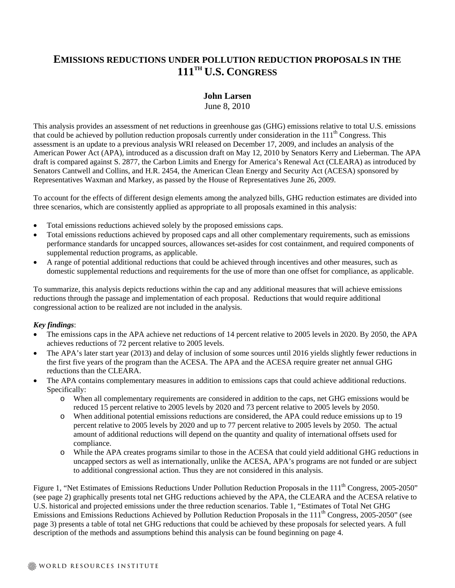# **EMISSIONS REDUCTIONS UNDER POLLUTION REDUCTION PROPOSALS IN THE 111TH U.S. CONGRESS**

## **John Larsen**

June 8, 2010

This analysis provides an assessment of net reductions in greenhouse gas (GHG) emissions relative to total U.S. emissions that could be achieved by pollution reduction proposals currently under consideration in the  $111<sup>th</sup>$  Congress. This assessment is an update to a previous analysis WRI released on December 17, 2009, and includes an analysis of the American Power Act (APA), introduced as a discussion draft on May 12, 2010 by Senators Kerry and Lieberman. The APA draft is compared against S. 2877, the Carbon Limits and Energy for America's Renewal Act (CLEARA) as introduced by Senators Cantwell and Collins, and H.R. 2454, the American Clean Energy and Security Act (ACESA) sponsored by Representatives Waxman and Markey, as passed by the House of Representatives June 26, 2009.

To account for the effects of different design elements among the analyzed bills, GHG reduction estimates are divided into three scenarios, which are consistently applied as appropriate to all proposals examined in this analysis:

- Total emissions reductions achieved solely by the proposed emissions caps.
- Total emissions reductions achieved by proposed caps and all other complementary requirements, such as emissions performance standards for uncapped sources, allowances set-asides for cost containment, and required components of supplemental reduction programs, as applicable.
- A range of potential additional reductions that could be achieved through incentives and other measures, such as domestic supplemental reductions and requirements for the use of more than one offset for compliance, as applicable.

To summarize, this analysis depicts reductions within the cap and any additional measures that will achieve emissions reductions through the passage and implementation of each proposal. Reductions that would require additional congressional action to be realized are not included in the analysis.

## *Key findings*:

- The emissions caps in the APA achieve net reductions of 14 percent relative to 2005 levels in 2020. By 2050, the APA achieves reductions of 72 percent relative to 2005 levels.
- The APA's later start year (2013) and delay of inclusion of some sources until 2016 yields slightly fewer reductions in the first five years of the program than the ACESA. The APA and the ACESA require greater net annual GHG reductions than the CLEARA.
- The APA contains complementary measures in addition to emissions caps that could achieve additional reductions. Specifically:
	- o When all complementary requirements are considered in addition to the caps, net GHG emissions would be reduced 15 percent relative to 2005 levels by 2020 and 73 percent relative to 2005 levels by 2050.
	- o When additional potential emissions reductions are considered, the APA could reduce emissions up to 19 percent relative to 2005 levels by 2020 and up to 77 percent relative to 2005 levels by 2050. The actual amount of additional reductions will depend on the quantity and quality of international offsets used for compliance.
	- o While the APA creates programs similar to those in the ACESA that could yield additional GHG reductions in uncapped sectors as well as internationally, unlike the ACESA, APA's programs are not funded or are subject to additional congressional action. Thus they are not considered in this analysis.

Figure 1, "Net Estimates of Emissions Reductions Under Pollution Reduction Proposals in the 111<sup>th</sup> Congress, 2005-2050" (see page 2) graphically presents total net GHG reductions achieved by the APA, the CLEARA and the ACESA relative to U.S. historical and projected emissions under the three reduction scenarios. Table 1, "Estimates of Total Net GHG Emissions and Emissions Reductions Achieved by Pollution Reduction Proposals in the 111<sup>th</sup> Congress, 2005-2050" (see page 3) presents a table of total net GHG reductions that could be achieved by these proposals for selected years. A full description of the methods and assumptions behind this analysis can be found beginning on page 4.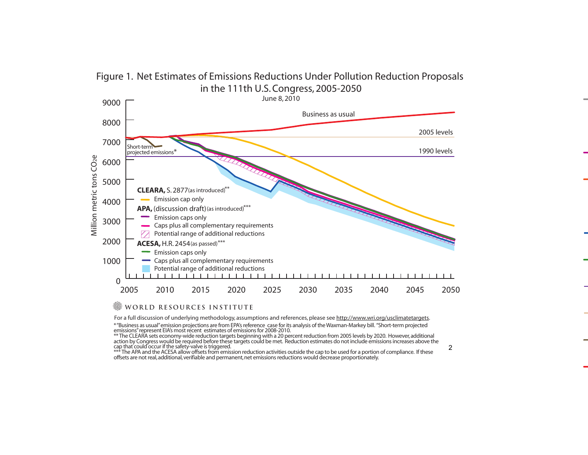# Figure 1. Net Estimates of Emissions Reductions Under Pollution Reduction Proposals in the 111th U.S. Congress, 2005-2050



### WORLD RESOURCES INSTITUTE

For a full discussion of underlying methodology, assumptions and references, please see http://www.wri.org/usclimatetargets.

\* "Business as usual" emission projections are from EPA's reference case for its analysis of the Waxman-Markey bill. "Short-term projected emissions" represent EIA's most recent estimates of emissions for 2008-2010.

\*\* The CLEARA sets economy-wide reduction targets beginning with a 20 percent reduction from 2005 levels by 2020. However, additional action by Congress would be required before these targets could be met. Reduction estimates do not include emissions increases above the cap that could occur if the safety-valve is triggered.

\*\*\* The APA and the ACESA allow offsets from emission reduction activities outside the cap to be used for a portion of compliance. If these offsets are not real, additional, verifiable and permanent, net emissions reductions would decrease proportionately.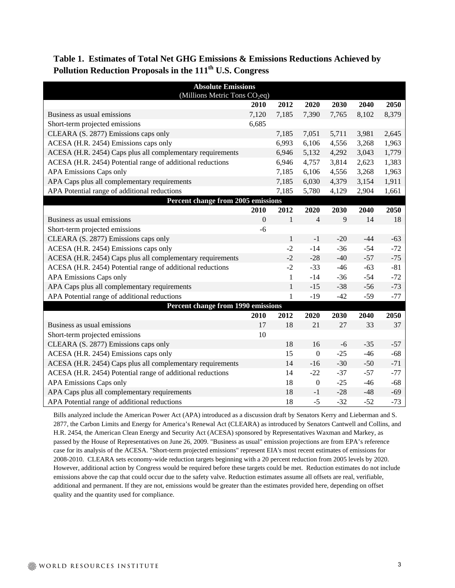**Table 1. Estimates of Total Net GHG Emissions & Emissions Reductions Achieved by**  Pollution Reduction Proposals in the 111<sup>th</sup> U.S. Congress

| <b>Absolute Emissions</b><br>(Millions Metric Tons CO <sub>2</sub> eq) |             |              |                |       |       |       |
|------------------------------------------------------------------------|-------------|--------------|----------------|-------|-------|-------|
|                                                                        | <b>2010</b> | 2012         | 2020           | 2030  | 2040  | 2050  |
| Business as usual emissions                                            | 7,120       | 7,185        | 7,390          | 7,765 | 8,102 | 8,379 |
| Short-term projected emissions                                         | 6,685       |              |                |       |       |       |
| CLEARA (S. 2877) Emissions caps only                                   |             | 7,185        | 7,051          | 5,711 | 3,981 | 2,645 |
| ACESA (H.R. 2454) Emissions caps only                                  |             | 6,993        | 6,106          | 4,556 | 3,268 | 1,963 |
| ACESA (H.R. 2454) Caps plus all complementary requirements             |             | 6,946        | 5,132          | 4,292 | 3,043 | 1,779 |
| ACESA (H.R. 2454) Potential range of additional reductions             |             | 6,946        | 4,757          | 3,814 | 2,623 | 1,383 |
| <b>APA Emissions Caps only</b>                                         |             | 7,185        | 6,106          | 4,556 | 3,268 | 1,963 |
| APA Caps plus all complementary requirements                           |             | 7,185        | 6,030          | 4,379 | 3,154 | 1,911 |
| APA Potential range of additional reductions                           |             | 7,185        | 5,780          | 4,129 | 2,904 | 1,661 |
| Percent change from 2005 emissions                                     |             |              |                |       |       |       |
|                                                                        | 2010        | 2012         | 2020           | 2030  | 2040  | 2050  |
| Business as usual emissions                                            | $\Omega$    | $\mathbf{1}$ | $\overline{4}$ | 9     | 14    | 18    |
| Short-term projected emissions                                         | $-6$        |              |                |       |       |       |
| CLEARA (S. 2877) Emissions caps only                                   |             | $\mathbf{1}$ | $^{\rm -1}$    | $-20$ | $-44$ | $-63$ |
| ACESA (H.R. 2454) Emissions caps only                                  |             | $-2$         | $-14$          | $-36$ | $-54$ | $-72$ |
| ACESA (H.R. 2454) Caps plus all complementary requirements             |             | $-2$         | $-28$          | $-40$ | $-57$ | $-75$ |
| ACESA (H.R. 2454) Potential range of additional reductions             |             | $-2$         | $-33$          | $-46$ | $-63$ | $-81$ |
| <b>APA Emissions Caps only</b>                                         |             | $\mathbf{1}$ | $-14$          | $-36$ | $-54$ | $-72$ |
| APA Caps plus all complementary requirements                           |             | $\mathbf{1}$ | $-15$          | $-38$ | $-56$ | $-73$ |
| APA Potential range of additional reductions                           |             | $\mathbf{1}$ | $-19$          | $-42$ | $-59$ | $-77$ |
| Percent change from 1990 emissions                                     |             |              |                |       |       |       |
|                                                                        | 2010        | 2012         | 2020           | 2030  | 2040  | 2050  |
| Business as usual emissions                                            | 17          | 18           | 21             | 27    | 33    | 37    |
| Short-term projected emissions                                         | 10          |              |                |       |       |       |
| CLEARA (S. 2877) Emissions caps only                                   |             | 18           | 16             | $-6$  | $-35$ | $-57$ |
| ACESA (H.R. 2454) Emissions caps only                                  |             | 15           | $\mathbf{0}$   | $-25$ | $-46$ | $-68$ |
| ACESA (H.R. 2454) Caps plus all complementary requirements             |             | 14           | $-16$          | $-30$ | $-50$ | $-71$ |
| ACESA (H.R. 2454) Potential range of additional reductions             |             | 14           | $-22$          | $-37$ | $-57$ | $-77$ |
| <b>APA Emissions Caps only</b>                                         |             | 18           | $\overline{0}$ | $-25$ | $-46$ | $-68$ |
| APA Caps plus all complementary requirements                           |             | 18           | $-1$           | $-28$ | $-48$ | $-69$ |
| APA Potential range of additional reductions                           |             | 18           | $-5$           | $-32$ | $-52$ | $-73$ |

Bills analyzed include the American Power Act (APA) introduced as a discussion draft by Senators Kerry and Lieberman and S. 2877, the Carbon Limits and Energy for America's Renewal Act (CLEARA) as introduced by Senators Cantwell and Collins, and H.R. 2454, the American Clean Energy and Security Act (ACESA) sponsored by Representatives Waxman and Markey, as passed by the House of Representatives on June 26, 2009. "Business as usual" emission projections are from EPA's reference case for its analysis of the ACESA. "Short-term projected emissions" represent EIA's most recent estimates of emissions for 2008-2010. CLEARA sets economy-wide reduction targets beginning with a 20 percent reduction from 2005 levels by 2020. However, additional action by Congress would be required before these targets could be met. Reduction estimates do not include emissions above the cap that could occur due to the safety valve. Reduction estimates assume all offsets are real, verifiable, additional and permanent. If they are not, emissions would be greater than the estimates provided here, depending on offset quality and the quantity used for compliance.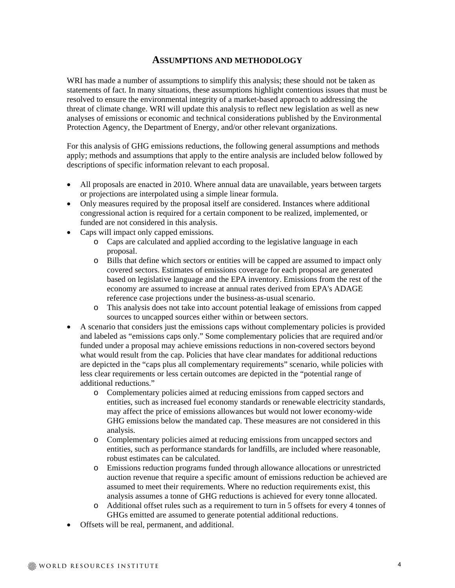## **ASSUMPTIONS AND METHODOLOGY**

WRI has made a number of assumptions to simplify this analysis; these should not be taken as statements of fact. In many situations, these assumptions highlight contentious issues that must be resolved to ensure the environmental integrity of a market-based approach to addressing the threat of climate change. WRI will update this analysis to reflect new legislation as well as new analyses of emissions or economic and technical considerations published by the Environmental Protection Agency, the Department of Energy, and/or other relevant organizations.

For this analysis of GHG emissions reductions, the following general assumptions and methods apply; methods and assumptions that apply to the entire analysis are included below followed by descriptions of specific information relevant to each proposal.

- All proposals are enacted in 2010. Where annual data are unavailable, years between targets or projections are interpolated using a simple linear formula.
- Only measures required by the proposal itself are considered. Instances where additional congressional action is required for a certain component to be realized, implemented, or funded are not considered in this analysis.
- Caps will impact only capped emissions.
	- o Caps are calculated and applied according to the legislative language in each proposal.
	- o Bills that define which sectors or entities will be capped are assumed to impact only covered sectors. Estimates of emissions coverage for each proposal are generated based on legislative language and the EPA inventory. Emissions from the rest of the economy are assumed to increase at annual rates derived from EPA's ADAGE reference case projections under the business-as-usual scenario.
	- o This analysis does not take into account potential leakage of emissions from capped sources to uncapped sources either within or between sectors.
- A scenario that considers just the emissions caps without complementary policies is provided and labeled as "emissions caps only." Some complementary policies that are required and/or funded under a proposal may achieve emissions reductions in non-covered sectors beyond what would result from the cap. Policies that have clear mandates for additional reductions are depicted in the "caps plus all complementary requirements" scenario, while policies with less clear requirements or less certain outcomes are depicted in the "potential range of additional reductions."
	- o Complementary policies aimed at reducing emissions from capped sectors and entities, such as increased fuel economy standards or renewable electricity standards, may affect the price of emissions allowances but would not lower economy-wide GHG emissions below the mandated cap. These measures are not considered in this analysis.
	- o Complementary policies aimed at reducing emissions from uncapped sectors and entities, such as performance standards for landfills, are included where reasonable, robust estimates can be calculated.
	- o Emissions reduction programs funded through allowance allocations or unrestricted auction revenue that require a specific amount of emissions reduction be achieved are assumed to meet their requirements. Where no reduction requirements exist, this analysis assumes a tonne of GHG reductions is achieved for every tonne allocated.
	- o Additional offset rules such as a requirement to turn in 5 offsets for every 4 tonnes of GHGs emitted are assumed to generate potential additional reductions.
- Offsets will be real, permanent, and additional.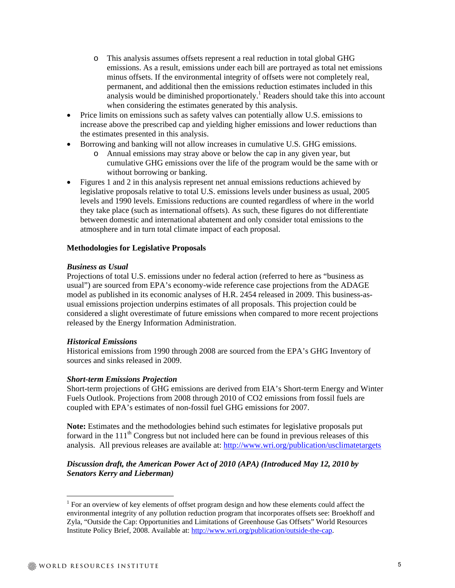- o This analysis assumes offsets represent a real reduction in total global GHG emissions. As a result, emissions under each bill are portrayed as total net emissions minus offsets. If the environmental integrity of offsets were not completely real, permanent, and additional then the emissions reduction estimates included in this analysis would be diminished proportionately.<sup>1</sup> Readers should take this into account when considering the estimates generated by this analysis.
- Price limits on emissions such as safety valves can potentially allow U.S. emissions to increase above the prescribed cap and yielding higher emissions and lower reductions than the estimates presented in this analysis.
- Borrowing and banking will not allow increases in cumulative U.S. GHG emissions.
	- o Annual emissions may stray above or below the cap in any given year, but cumulative GHG emissions over the life of the program would be the same with or without borrowing or banking.
- Figures 1 and 2 in this analysis represent net annual emissions reductions achieved by legislative proposals relative to total U.S. emissions levels under business as usual, 2005 levels and 1990 levels. Emissions reductions are counted regardless of where in the world they take place (such as international offsets). As such, these figures do not differentiate between domestic and international abatement and only consider total emissions to the atmosphere and in turn total climate impact of each proposal.

#### **Methodologies for Legislative Proposals**

#### *Business as Usual*

Projections of total U.S. emissions under no federal action (referred to here as "business as usual") are sourced from EPA's economy-wide reference case projections from the ADAGE model as published in its economic analyses of H.R. 2454 released in 2009. This business-asusual emissions projection underpins estimates of all proposals. This projection could be considered a slight overestimate of future emissions when compared to more recent projections released by the Energy Information Administration.

#### *Historical Emissions*

Historical emissions from 1990 through 2008 are sourced from the EPA's GHG Inventory of sources and sinks released in 2009.

#### *Short-term Emissions Projection*

Short-term projections of GHG emissions are derived from EIA's Short-term Energy and Winter Fuels Outlook. Projections from 2008 through 2010 of CO2 emissions from fossil fuels are coupled with EPA's estimates of non-fossil fuel GHG emissions for 2007.

**Note:** Estimates and the methodologies behind such estimates for legislative proposals put forward in the  $111<sup>th</sup>$  Congress but not included here can be found in previous releases of this analysis. All previous releases are available at: http://www.wri.org/publication/usclimatetargets

## *Discussion draft, the American Power Act of 2010 (APA) (Introduced May 12, 2010 by Senators Kerry and Lieberman)*

 $\overline{a}$ 

<sup>&</sup>lt;sup>1</sup> For an overview of key elements of offset program design and how these elements could affect the environmental integrity of any pollution reduction program that incorporates offsets see: Broekhoff and Zyla, "Outside the Cap: Opportunities and Limitations of Greenhouse Gas Offsets" World Resources Institute Policy Brief, 2008. Available at: http://www.wri.org/publication/outside-the-cap.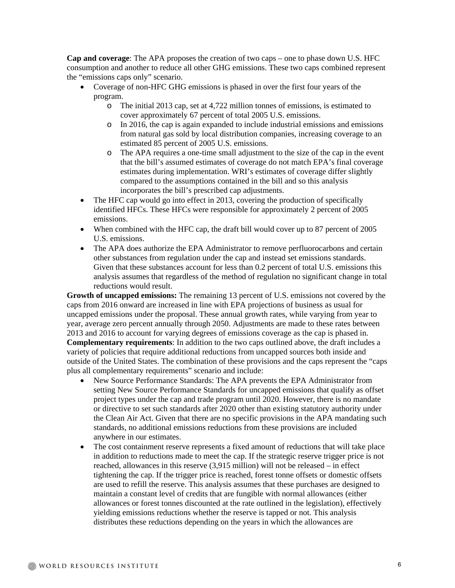**Cap and coverage**: The APA proposes the creation of two caps – one to phase down U.S. HFC consumption and another to reduce all other GHG emissions. These two caps combined represent the "emissions caps only" scenario.

- Coverage of non-HFC GHG emissions is phased in over the first four years of the program.
	- o The initial 2013 cap, set at 4,722 million tonnes of emissions, is estimated to cover approximately 67 percent of total 2005 U.S. emissions.
	- o In 2016, the cap is again expanded to include industrial emissions and emissions from natural gas sold by local distribution companies, increasing coverage to an estimated 85 percent of 2005 U.S. emissions.
	- o The APA requires a one-time small adjustment to the size of the cap in the event that the bill's assumed estimates of coverage do not match EPA's final coverage estimates during implementation. WRI's estimates of coverage differ slightly compared to the assumptions contained in the bill and so this analysis incorporates the bill's prescribed cap adjustments.
- The HFC cap would go into effect in 2013, covering the production of specifically identified HFCs. These HFCs were responsible for approximately 2 percent of 2005 emissions.
- When combined with the HFC cap, the draft bill would cover up to 87 percent of 2005 U.S. emissions.
- The APA does authorize the EPA Administrator to remove perfluorocarbons and certain other substances from regulation under the cap and instead set emissions standards. Given that these substances account for less than 0.2 percent of total U.S. emissions this analysis assumes that regardless of the method of regulation no significant change in total reductions would result.

**Growth of uncapped emissions:** The remaining 13 percent of U.S. emissions not covered by the caps from 2016 onward are increased in line with EPA projections of business as usual for uncapped emissions under the proposal. These annual growth rates, while varying from year to year, average zero percent annually through 2050. Adjustments are made to these rates between 2013 and 2016 to account for varying degrees of emissions coverage as the cap is phased in. **Complementary requirements**: In addition to the two caps outlined above, the draft includes a variety of policies that require additional reductions from uncapped sources both inside and outside of the United States. The combination of these provisions and the caps represent the "caps plus all complementary requirements" scenario and include:

- New Source Performance Standards: The APA prevents the EPA Administrator from setting New Source Performance Standards for uncapped emissions that qualify as offset project types under the cap and trade program until 2020. However, there is no mandate or directive to set such standards after 2020 other than existing statutory authority under the Clean Air Act. Given that there are no specific provisions in the APA mandating such standards, no additional emissions reductions from these provisions are included anywhere in our estimates.
- The cost containment reserve represents a fixed amount of reductions that will take place in addition to reductions made to meet the cap. If the strategic reserve trigger price is not reached, allowances in this reserve (3,915 million) will not be released – in effect tightening the cap. If the trigger price is reached, forest tonne offsets or domestic offsets are used to refill the reserve. This analysis assumes that these purchases are designed to maintain a constant level of credits that are fungible with normal allowances (either allowances or forest tonnes discounted at the rate outlined in the legislation), effectively yielding emissions reductions whether the reserve is tapped or not. This analysis distributes these reductions depending on the years in which the allowances are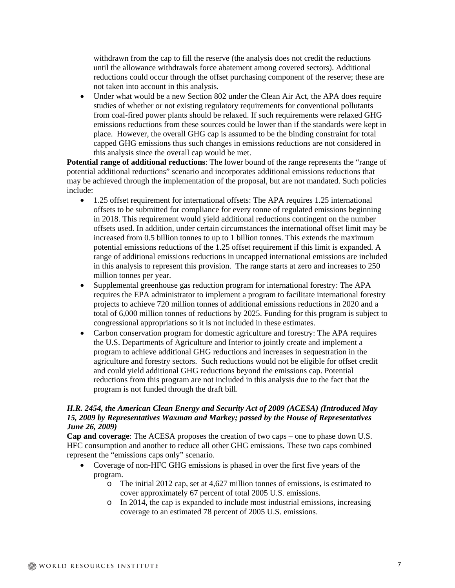withdrawn from the cap to fill the reserve (the analysis does not credit the reductions until the allowance withdrawals force abatement among covered sectors). Additional reductions could occur through the offset purchasing component of the reserve; these are not taken into account in this analysis.

 Under what would be a new Section 802 under the Clean Air Act, the APA does require studies of whether or not existing regulatory requirements for conventional pollutants from coal-fired power plants should be relaxed. If such requirements were relaxed GHG emissions reductions from these sources could be lower than if the standards were kept in place. However, the overall GHG cap is assumed to be the binding constraint for total capped GHG emissions thus such changes in emissions reductions are not considered in this analysis since the overall cap would be met.

**Potential range of additional reductions**: The lower bound of the range represents the "range of potential additional reductions" scenario and incorporates additional emissions reductions that may be achieved through the implementation of the proposal, but are not mandated. Such policies include:

- 1.25 offset requirement for international offsets: The APA requires 1.25 international offsets to be submitted for compliance for every tonne of regulated emissions beginning in 2018. This requirement would yield additional reductions contingent on the number offsets used. In addition, under certain circumstances the international offset limit may be increased from 0.5 billion tonnes to up to 1 billion tonnes. This extends the maximum potential emissions reductions of the 1.25 offset requirement if this limit is expanded. A range of additional emissions reductions in uncapped international emissions are included in this analysis to represent this provision. The range starts at zero and increases to 250 million tonnes per year.
- Supplemental greenhouse gas reduction program for international forestry: The APA requires the EPA administrator to implement a program to facilitate international forestry projects to achieve 720 million tonnes of additional emissions reductions in 2020 and a total of 6,000 million tonnes of reductions by 2025. Funding for this program is subject to congressional appropriations so it is not included in these estimates.
- Carbon conservation program for domestic agriculture and forestry: The APA requires the U.S. Departments of Agriculture and Interior to jointly create and implement a program to achieve additional GHG reductions and increases in sequestration in the agriculture and forestry sectors. Such reductions would not be eligible for offset credit and could yield additional GHG reductions beyond the emissions cap. Potential reductions from this program are not included in this analysis due to the fact that the program is not funded through the draft bill.

### *H.R. 2454, the American Clean Energy and Security Act of 2009 (ACESA) (Introduced May 15, 2009 by Representatives Waxman and Markey; passed by the House of Representatives June 26, 2009)*

**Cap and coverage**: The ACESA proposes the creation of two caps – one to phase down U.S. HFC consumption and another to reduce all other GHG emissions. These two caps combined represent the "emissions caps only" scenario.

- Coverage of non-HFC GHG emissions is phased in over the first five years of the program.
	- o The initial 2012 cap, set at 4,627 million tonnes of emissions, is estimated to cover approximately 67 percent of total 2005 U.S. emissions.
	- o In 2014, the cap is expanded to include most industrial emissions, increasing coverage to an estimated 78 percent of 2005 U.S. emissions.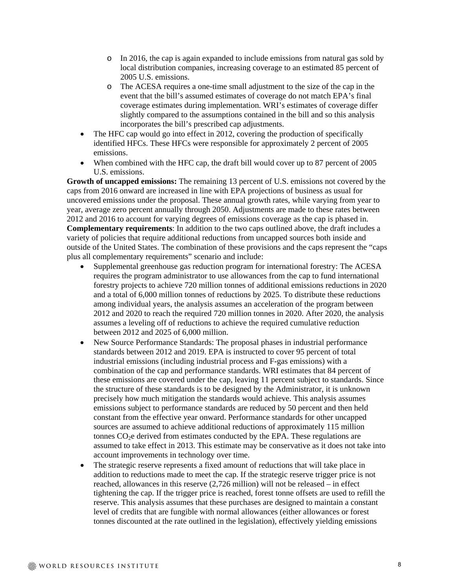- o In 2016, the cap is again expanded to include emissions from natural gas sold by local distribution companies, increasing coverage to an estimated 85 percent of 2005 U.S. emissions.
- o The ACESA requires a one-time small adjustment to the size of the cap in the event that the bill's assumed estimates of coverage do not match EPA's final coverage estimates during implementation. WRI's estimates of coverage differ slightly compared to the assumptions contained in the bill and so this analysis incorporates the bill's prescribed cap adjustments.
- The HFC cap would go into effect in 2012, covering the production of specifically identified HFCs. These HFCs were responsible for approximately 2 percent of 2005 emissions.
- When combined with the HFC cap, the draft bill would cover up to 87 percent of 2005 U.S. emissions.

**Growth of uncapped emissions:** The remaining 13 percent of U.S. emissions not covered by the caps from 2016 onward are increased in line with EPA projections of business as usual for uncovered emissions under the proposal. These annual growth rates, while varying from year to year, average zero percent annually through 2050. Adjustments are made to these rates between 2012 and 2016 to account for varying degrees of emissions coverage as the cap is phased in. **Complementary requirements**: In addition to the two caps outlined above, the draft includes a variety of policies that require additional reductions from uncapped sources both inside and outside of the United States. The combination of these provisions and the caps represent the "caps plus all complementary requirements" scenario and include:

- Supplemental greenhouse gas reduction program for international forestry: The ACESA requires the program administrator to use allowances from the cap to fund international forestry projects to achieve 720 million tonnes of additional emissions reductions in 2020 and a total of 6,000 million tonnes of reductions by 2025. To distribute these reductions among individual years, the analysis assumes an acceleration of the program between 2012 and 2020 to reach the required 720 million tonnes in 2020. After 2020, the analysis assumes a leveling off of reductions to achieve the required cumulative reduction between 2012 and 2025 of 6,000 million.
- New Source Performance Standards: The proposal phases in industrial performance standards between 2012 and 2019. EPA is instructed to cover 95 percent of total industrial emissions (including industrial process and F-gas emissions) with a combination of the cap and performance standards. WRI estimates that 84 percent of these emissions are covered under the cap, leaving 11 percent subject to standards. Since the structure of these standards is to be designed by the Administrator, it is unknown precisely how much mitigation the standards would achieve. This analysis assumes emissions subject to performance standards are reduced by 50 percent and then held constant from the effective year onward. Performance standards for other uncapped sources are assumed to achieve additional reductions of approximately 115 million tonnes  $CO<sub>2</sub>e$  derived from estimates conducted by the EPA. These regulations are assumed to take effect in 2013. This estimate may be conservative as it does not take into account improvements in technology over time.
- The strategic reserve represents a fixed amount of reductions that will take place in addition to reductions made to meet the cap. If the strategic reserve trigger price is not reached, allowances in this reserve (2,726 million) will not be released – in effect tightening the cap. If the trigger price is reached, forest tonne offsets are used to refill the reserve. This analysis assumes that these purchases are designed to maintain a constant level of credits that are fungible with normal allowances (either allowances or forest tonnes discounted at the rate outlined in the legislation), effectively yielding emissions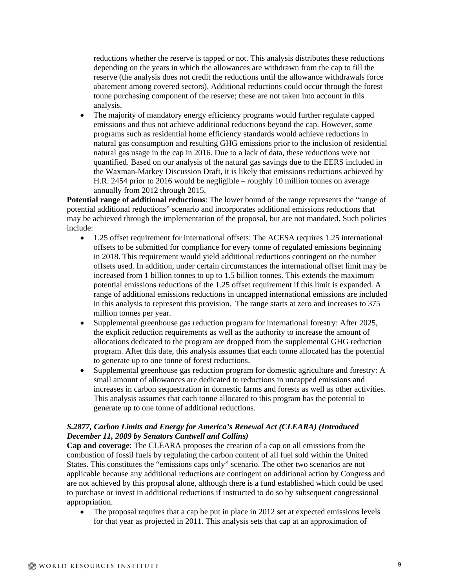reductions whether the reserve is tapped or not. This analysis distributes these reductions depending on the years in which the allowances are withdrawn from the cap to fill the reserve (the analysis does not credit the reductions until the allowance withdrawals force abatement among covered sectors). Additional reductions could occur through the forest tonne purchasing component of the reserve; these are not taken into account in this analysis.

 The majority of mandatory energy efficiency programs would further regulate capped emissions and thus not achieve additional reductions beyond the cap. However, some programs such as residential home efficiency standards would achieve reductions in natural gas consumption and resulting GHG emissions prior to the inclusion of residential natural gas usage in the cap in 2016. Due to a lack of data, these reductions were not quantified. Based on our analysis of the natural gas savings due to the EERS included in the Waxman-Markey Discussion Draft, it is likely that emissions reductions achieved by H.R. 2454 prior to 2016 would be negligible – roughly 10 million tonnes on average annually from 2012 through 2015.

**Potential range of additional reductions**: The lower bound of the range represents the "range of potential additional reductions" scenario and incorporates additional emissions reductions that may be achieved through the implementation of the proposal, but are not mandated. Such policies include:

- 1.25 offset requirement for international offsets: The ACESA requires 1.25 international offsets to be submitted for compliance for every tonne of regulated emissions beginning in 2018. This requirement would yield additional reductions contingent on the number offsets used. In addition, under certain circumstances the international offset limit may be increased from 1 billion tonnes to up to 1.5 billion tonnes. This extends the maximum potential emissions reductions of the 1.25 offset requirement if this limit is expanded. A range of additional emissions reductions in uncapped international emissions are included in this analysis to represent this provision. The range starts at zero and increases to 375 million tonnes per year.
- Supplemental greenhouse gas reduction program for international forestry: After 2025, the explicit reduction requirements as well as the authority to increase the amount of allocations dedicated to the program are dropped from the supplemental GHG reduction program. After this date, this analysis assumes that each tonne allocated has the potential to generate up to one tonne of forest reductions.
- Supplemental greenhouse gas reduction program for domestic agriculture and forestry: A small amount of allowances are dedicated to reductions in uncapped emissions and increases in carbon sequestration in domestic farms and forests as well as other activities. This analysis assumes that each tonne allocated to this program has the potential to generate up to one tonne of additional reductions.

## *S.2877, Carbon Limits and Energy for America's Renewal Act (CLEARA) (Introduced December 11, 2009 by Senators Cantwell and Collins)*

**Cap and coverage**: The CLEARA proposes the creation of a cap on all emissions from the combustion of fossil fuels by regulating the carbon content of all fuel sold within the United States. This constitutes the "emissions caps only" scenario. The other two scenarios are not applicable because any additional reductions are contingent on additional action by Congress and are not achieved by this proposal alone, although there is a fund established which could be used to purchase or invest in additional reductions if instructed to do so by subsequent congressional appropriation.

• The proposal requires that a cap be put in place in 2012 set at expected emissions levels for that year as projected in 2011. This analysis sets that cap at an approximation of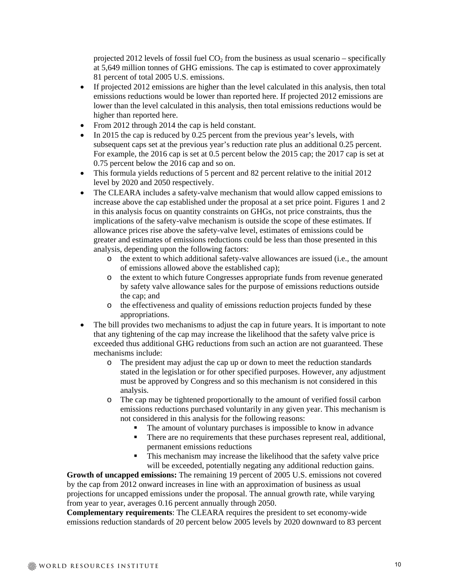projected 2012 levels of fossil fuel  $CO<sub>2</sub>$  from the business as usual scenario – specifically at 5,649 million tonnes of GHG emissions. The cap is estimated to cover approximately 81 percent of total 2005 U.S. emissions.

- If projected 2012 emissions are higher than the level calculated in this analysis, then total emissions reductions would be lower than reported here. If projected 2012 emissions are lower than the level calculated in this analysis, then total emissions reductions would be higher than reported here.
- From 2012 through 2014 the cap is held constant.
- $\bullet$  In 2015 the cap is reduced by 0.25 percent from the previous year's levels, with subsequent caps set at the previous year's reduction rate plus an additional 0.25 percent. For example, the 2016 cap is set at 0.5 percent below the 2015 cap; the 2017 cap is set at 0.75 percent below the 2016 cap and so on.
- This formula yields reductions of 5 percent and 82 percent relative to the initial 2012 level by 2020 and 2050 respectively.
- The CLEARA includes a safety-valve mechanism that would allow capped emissions to increase above the cap established under the proposal at a set price point. Figures 1 and 2 in this analysis focus on quantity constraints on GHGs, not price constraints, thus the implications of the safety-valve mechanism is outside the scope of these estimates. If allowance prices rise above the safety-valve level, estimates of emissions could be greater and estimates of emissions reductions could be less than those presented in this analysis, depending upon the following factors:
	- o the extent to which additional safety-valve allowances are issued (i.e., the amount of emissions allowed above the established cap);
	- o the extent to which future Congresses appropriate funds from revenue generated by safety valve allowance sales for the purpose of emissions reductions outside the cap; and
	- o the effectiveness and quality of emissions reduction projects funded by these appropriations.
- The bill provides two mechanisms to adjust the cap in future years. It is important to note that any tightening of the cap may increase the likelihood that the safety valve price is exceeded thus additional GHG reductions from such an action are not guaranteed. These mechanisms include:
	- o The president may adjust the cap up or down to meet the reduction standards stated in the legislation or for other specified purposes. However, any adjustment must be approved by Congress and so this mechanism is not considered in this analysis.
	- o The cap may be tightened proportionally to the amount of verified fossil carbon emissions reductions purchased voluntarily in any given year. This mechanism is not considered in this analysis for the following reasons:
		- The amount of voluntary purchases is impossible to know in advance
		- There are no requirements that these purchases represent real, additional, permanent emissions reductions
		- This mechanism may increase the likelihood that the safety valve price will be exceeded, potentially negating any additional reduction gains.

**Growth of uncapped emissions:** The remaining 19 percent of 2005 U.S. emissions not covered by the cap from 2012 onward increases in line with an approximation of business as usual projections for uncapped emissions under the proposal. The annual growth rate, while varying from year to year, averages 0.16 percent annually through 2050.

**Complementary requirements**: The CLEARA requires the president to set economy-wide emissions reduction standards of 20 percent below 2005 levels by 2020 downward to 83 percent